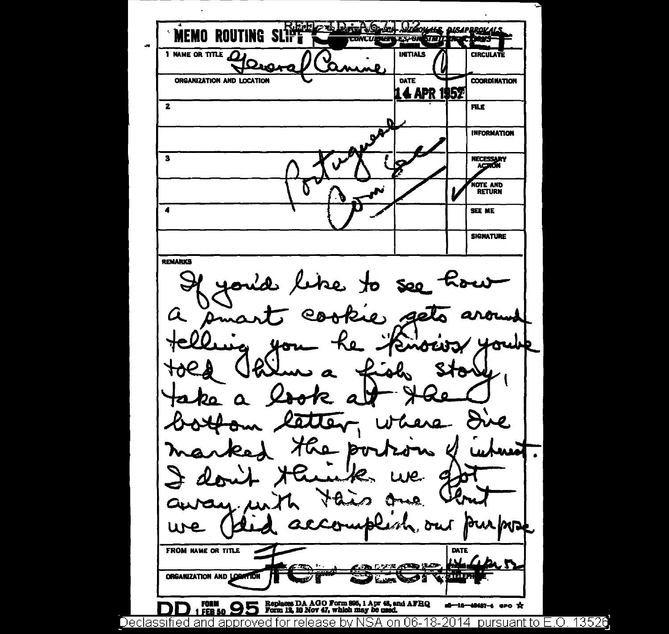**MEMO ROUTING SLIP** 1 NAME OR TITLE **INITIALS CIRCULATE** LΩ ORGANIZATION AND LOCATION **DATE COORDINATION 14 APR 1952**  $\overline{\mathbf{2}}$ **FILE INFORMATION**  $\mathbf{3}$ **NECESSARY**<br>AC210N NOTE AND 7 SEE ME **SIGNATURE REMARKS** la like to  $\mathcal{A}$ See Â ł2. دهد Κο  $\boldsymbol{u_{\alpha}}$ noury p latter e. Wh Ha bu 长 ou . MDF u١ FROM NAME OR TITLE DATE what حمال محال ORGANIZATION AND LOCATION Replaces DA AGO Form 395, 1 Apr 43, and AFHQ<br>Form 12, 10 Nov 47, which may be used. 95 d-16-48487-4 aro x FER 50

Declassified and approved for release by NSA on 06-18-2014  $\,$  pursuant to E.O. 13526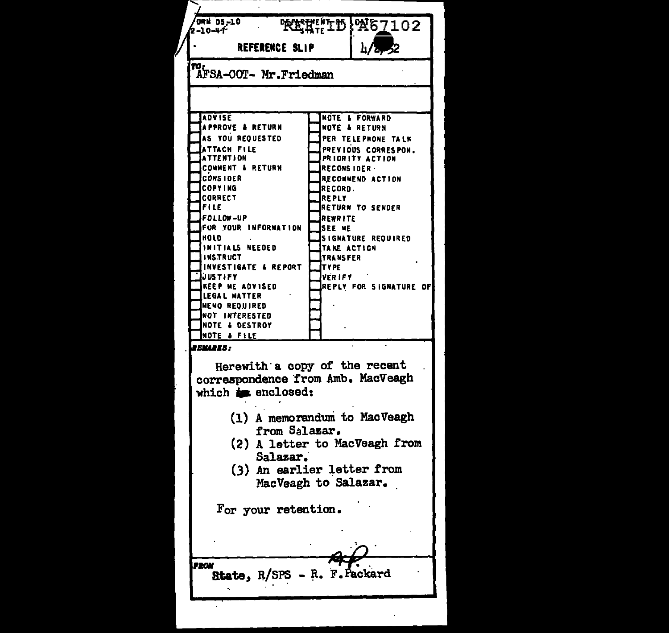| ORN 05-10<br><b>RETHE DE A67102</b><br>2-10-41  |                                |                                                |  |
|-------------------------------------------------|--------------------------------|------------------------------------------------|--|
| <b>REFERENCE SLIP</b>                           |                                | $\frac{1}{2}$                                  |  |
| ro:<br>AFSA-OOT- Mr.Friedman                    |                                |                                                |  |
|                                                 |                                |                                                |  |
|                                                 |                                |                                                |  |
| <b>ADVISE</b>                                   |                                | <b>NOTE &amp; FORWARD</b>                      |  |
| <b>APPROVE &amp; RETURN</b><br>AS YOU REOUESTED |                                | <b>NOTE &amp; RETURN</b><br>PER TELEPHONE TALK |  |
| ATTACH FILE                                     |                                | PREVIOUS CORRESPON.                            |  |
| <b>ATTENTION</b><br><b>COMMENT &amp; RETURN</b> |                                | PRIORITY ACTION                                |  |
| <b>CONSIDER</b>                                 | <b>RECONSIDER</b>              | RECOMMEND ACTION                               |  |
| <b>COPYING</b>                                  | <b>RECORD.</b>                 |                                                |  |
| <b>CORRECT</b>                                  | REPLY                          |                                                |  |
| FILE<br><b>FOLLOW-UP</b>                        | <b>REWRITE</b>                 | <b>RETURN TO SENDER</b>                        |  |
| FOR YOUR INFORMATION                            | <b>SEE ME</b>                  |                                                |  |
| HOLD                                            |                                | <b>SIGNATURE REQUIRED</b>                      |  |
| INITIALS NEEDED<br><b>INSTRUCT</b>              | TAKE ACTICN<br><b>TRANSFER</b> |                                                |  |
| INVESTIGATE & REPORT                            | <b>TYPE</b>                    |                                                |  |
| <b>JUSTIFY</b>                                  | VER IFY                        |                                                |  |
| <b>KEEP ME ADVISED</b><br><b>LEGAL MATTER</b>   |                                | <b>REPLY FOR SIGNATURE OF</b>                  |  |
| <b>MEMO REQUIRED</b>                            |                                |                                                |  |
| NOT INTERESTED                                  |                                |                                                |  |
| <b>NOTE &amp; DESTROY</b>                       |                                |                                                |  |
| NOTE & FILE<br><b>TEMARKS:</b>                  |                                |                                                |  |
|                                                 |                                |                                                |  |
| Herewith a copy of the recent                   |                                |                                                |  |
| correspondence from Amb. MacVeagh               |                                |                                                |  |
| which is enclosed:                              |                                |                                                |  |
|                                                 |                                |                                                |  |
| (1) A memorandum to MacVeagh                    |                                |                                                |  |
| from Salazar.                                   |                                |                                                |  |
| (2) A letter to MacVeagh from                   |                                |                                                |  |
| Salazar.                                        |                                |                                                |  |
| (3) An earlier letter from                      |                                |                                                |  |
| MacVeagh to Salazar.                            |                                |                                                |  |
|                                                 |                                |                                                |  |
| For your retention.                             |                                |                                                |  |
|                                                 |                                |                                                |  |
|                                                 |                                |                                                |  |
|                                                 |                                |                                                |  |
| <b>ROM</b>                                      |                                |                                                |  |
| - R. F. Packard<br>State, R/SPS                 |                                |                                                |  |
|                                                 |                                |                                                |  |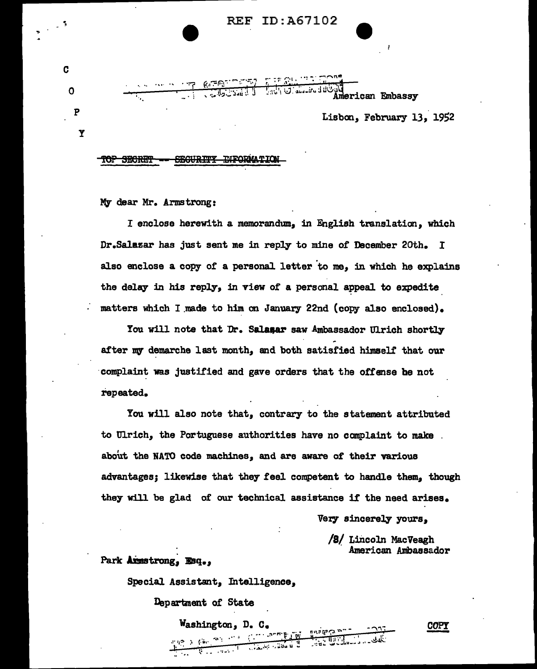

**ALL ALL AREADS IN SUITABLE OF THE STATE OF THE STATE OF THE STATE OF THE STATE OF THE STATE OF THE STATE OF THE** merican Embassy

## Lisbon, February 13, 1952

#### **SEGURITY TUFORMATION** TOP SECRET

My dear Mr. Armstrong:

C

 $\mathbf 0$ 

P

Υ

I enclose herewith a memorandum, in English translation, which Dr.Salazar has just sent me in reply to mine of December 20th. I also enclose a copy of a personal letter to me, in which he explains the delay in his reply, in view of a personal appeal to expedite matters which I made to him on January 22nd (copy also enclosed).

You will note that Dr. Salamar saw Ambassador Ulrich shortly after my demarche last month, and both satisfied himself that our complaint was justified and gave orders that the offense be not repeated.

You will also note that, contrary to the statement attributed to Ulrich, the Portuguese authorities have no complaint to make about the NATO code machines, and are aware of their various advantages: likewise that they feel competent to handle them. though they will be glad of our technical assistance if the need arises.

Very sincerely yours,

/8/ Lincoln MacVeagh American Ambassador

### Park Axmstrong, Esq.,

Special Assistant, Intelligence,

Washington, D.

Department of State

**COPY**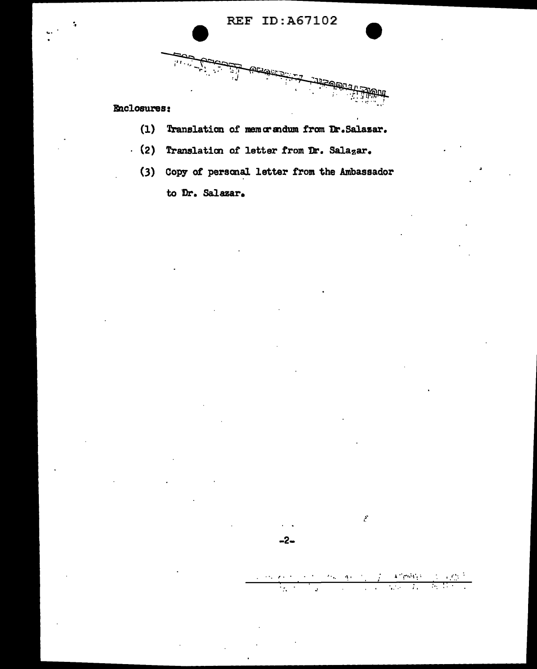.<br>ක<sub>බ</sub>

# **Enclosures:**

9T)

- (1) Translation of memorandum from Dr. Salazar.
- $(2)$  Translation of letter from Dr. Salazar.
	- (3) Copy of personal letter from the Ambassador to Dr. Salazar.

 $\Delta P$  proves a signal of  $\Omega_{\rm{max}}$  $\mathcal{F}(\mathbf{x}) = \mathcal{F}(\mathbf{x})$ 

 $-2-$ 

 $\overline{\mathcal{L}_{\mathcal{C}}^{\mathcal{C}}}$  $\mathcal{L}_{\mathcal{L}}$ 

 $\hat{\epsilon}$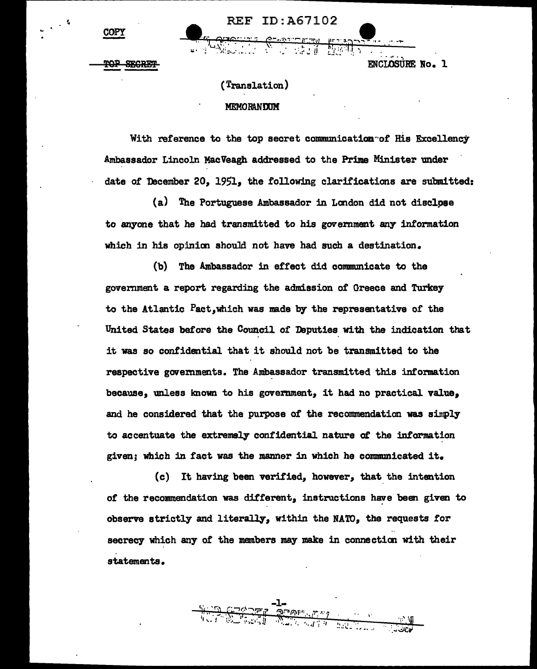**COPY** 

**REF ID:A67102** 

**ENCLOSURE No. 1** 

(Translation)

#### **MEMORANDUM**

With reference to the top secret communicatian"of His Excellency Ambassador Lincoln MacVeagh addressed to the Prime Minister under date of December 20, 1951, the following clarifications are submitted:

(a) The Portuguese Ambassador in Landon did not disclpae to anyone that he had transmitted to his government any information which in his opinion should not have had such a destination.

(b) The Ambassador in effect did communicate to the govemment a report regarding the admission of Greece and Turkey to the Atlantic Pact,which was made by the representative of the United States before the Council of Deputies with the indication that it was so confidential that it should not be transmitted to the respective govemments. The Ambassador transmitted this information because, unless lmown to his government, it had no practical value, and he considered that the purpose of the recommendation was sinply to accentuate the extremely confidential nature of the information given; which in fact was the manner in which he communicated it.

(c) It having been verified, however, that the intention of the recommendation was different, instructions have been given to observe strictly and literally, within the NA'70, the requests for secrecy which any of the members may make in connection with their statements.

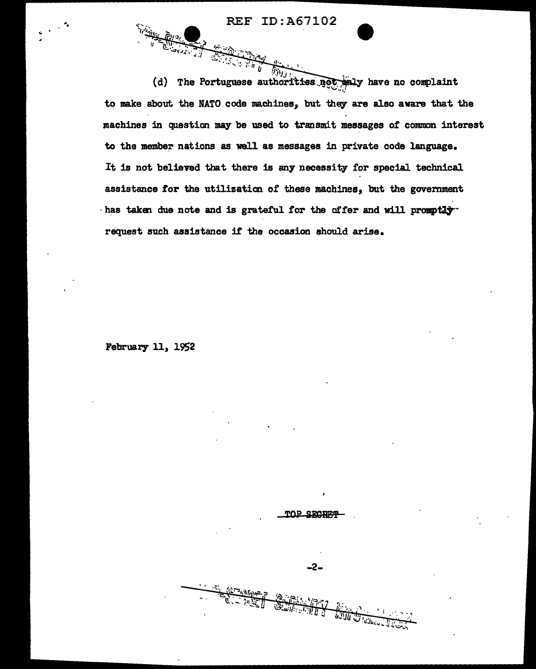REF ID:A67102

 $\frac{1}{\sqrt{2}}$ 

September 1977 (d) The Portuguese authorities  $\frac{1}{2}$  have no complaint to make about the NATO code machines, but they are also aware that the machines in question may be used to transmit messages of common interest to the member nations as well as messages in private code language. It is not believed that there is any necessity for special technical assistance for the utilization *ot* these machines, but the government  $\cdot$  has taken due note and is grateful for the offer and will promptly request such assistance if' the occasion should arise.

February 11, 19S2



 $-2-$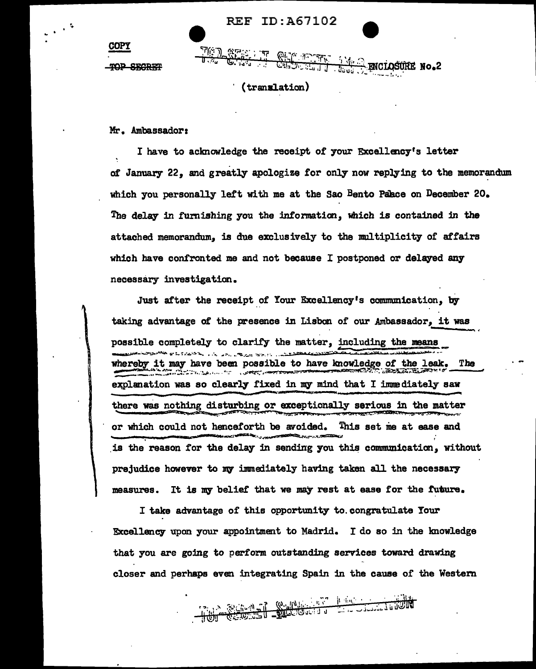**REF ID:A67102** 

**ELLER AMERICIOSORE NO.2** 

TOP SECRET

**COPY** 

(translation)

Mr. Ambassador:

I have to acknowledge the receipt of your Excellency's letter of January 22, and greatly apologize for only now replying to the memorandum which you personally left with me at the Sao Bento Palace on December 20. The delay in furnishing you the information, which is contained in the attached memorandum, is due exclusively to the multiplicity of affairs which have confronted me and not because I postponed or delayed any necessary investigation.

Just after the receipt of Your Excellency's communication, by taking advantage of the presence in Lisbon of our Ambassador, it was possible completely to clarify the matter, including the means فلتقتض والمتعارض والمتحاول والمتعارض والمتحار والمتحار والمتحارث whereby it may have been possible to have knowledge of the leak. The **CARD AND THE** e and the company of the company of the company of the company of the company of the company of the company of<br>The company of the company of the company of the company of the company of the company of the company of the c explanation was so clearly fixed in my mind that I immediately saw there was nothing disturbing or exceptionally serious in the matter or which could not henceforth be avoided. This set me at ease and is the reason for the delay in sending you this communication, without prejudice however to my immediately having taken all the necessary It is my belief that we may rest at ease for the future. measures.

I take advantage of this opportunity to congratulate Your Excellency upon your appointment to Madrid. I do so in the knowledge that you are going to perform outstanding services toward drawing closer and perhaps even integrating Spain in the cause of the Western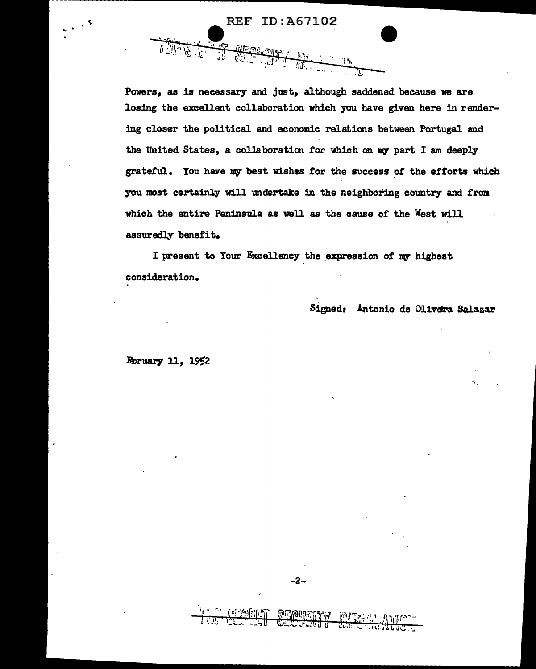**REF ID: A67102** 

**APALAISE** LINE

Powers, as is necessary and just, although saddened because we are losing the excellent collaboration which you have given here in rendering closer the political and economic relations between Portugal and the United States, a collaboration for which on my part I am deeply grateful. You have my best wishes for the success of the efforts which you most certainly will undertake in the neighboring country and from which the entire Peninsula as well as the cause of the West will assuredly benefit.

I present to Your Excellency the expression of my highest consideration.

Signed: Antonio de Olivera Salazar

Roruary 11, 1952



-2-